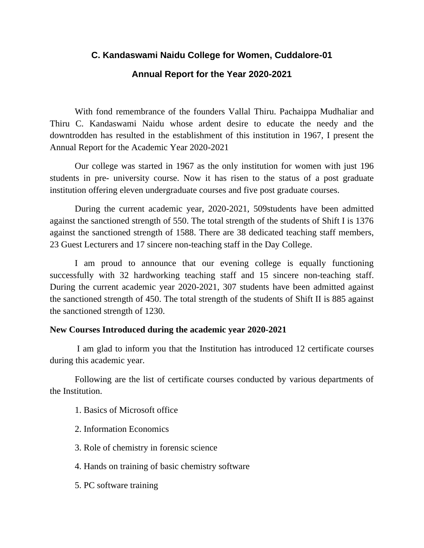# **C. Kandaswami Naidu College for Women, Cuddalore-01 Annual Report for the Year 2020-2021**

With fond remembrance of the founders Vallal Thiru. Pachaippa Mudhaliar and Thiru C. Kandaswami Naidu whose ardent desire to educate the needy and the downtrodden has resulted in the establishment of this institution in 1967, I present the Annual Report for the Academic Year 2020-2021

Our college was started in 1967 as the only institution for women with just 196 students in pre- university course. Now it has risen to the status of a post graduate institution offering eleven undergraduate courses and five post graduate courses.

During the current academic year, 2020-2021, 509students have been admitted against the sanctioned strength of 550. The total strength of the students of Shift I is 1376 against the sanctioned strength of 1588. There are 38 dedicated teaching staff members, 23 Guest Lecturers and 17 sincere non-teaching staff in the Day College.

I am proud to announce that our evening college is equally functioning successfully with 32 hardworking teaching staff and 15 sincere non-teaching staff. During the current academic year 2020-2021, 307 students have been admitted against the sanctioned strength of 450. The total strength of the students of Shift II is 885 against the sanctioned strength of 1230.

#### **New Courses Introduced during the academic year 2020-2021**

I am glad to inform you that the Institution has introduced 12 certificate courses during this academic year.

Following are the list of certificate courses conducted by various departments of the Institution.

- 1. Basics of Microsoft office
- 2. Information Economics
- 3. Role of chemistry in forensic science
- 4. Hands on training of basic chemistry software
- 5. PC software training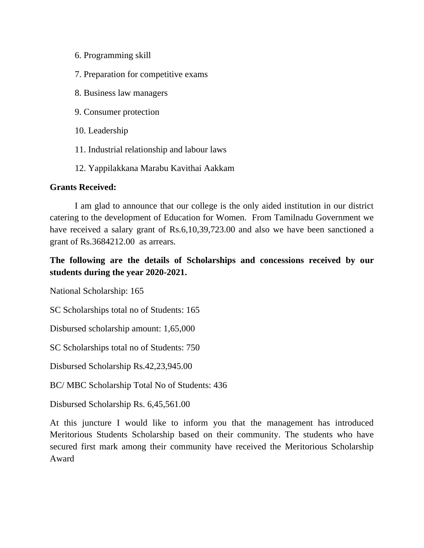- 6. Programming skill
- 7. Preparation for competitive exams
- 8. Business law managers
- 9. Consumer protection
- 10. Leadership
- 11. Industrial relationship and labour laws
- 12. Yappilakkana Marabu Kavithai Aakkam

#### **Grants Received:**

I am glad to announce that our college is the only aided institution in our district catering to the development of Education for Women. From Tamilnadu Government we have received a salary grant of Rs.6,10,39,723.00 and also we have been sanctioned a grant of Rs.3684212.00 as arrears.

# **The following are the details of Scholarships and concessions received by our students during the year 2020-2021.**

National Scholarship: 165

SC Scholarships total no of Students: 165

Disbursed scholarship amount: 1,65,000

SC Scholarships total no of Students: 750

Disbursed Scholarship Rs.42,23,945.00

BC/ MBC Scholarship Total No of Students: 436

Disbursed Scholarship Rs. 6,45,561.00

At this juncture I would like to inform you that the management has introduced Meritorious Students Scholarship based on their community. The students who have secured first mark among their community have received the Meritorious Scholarship Award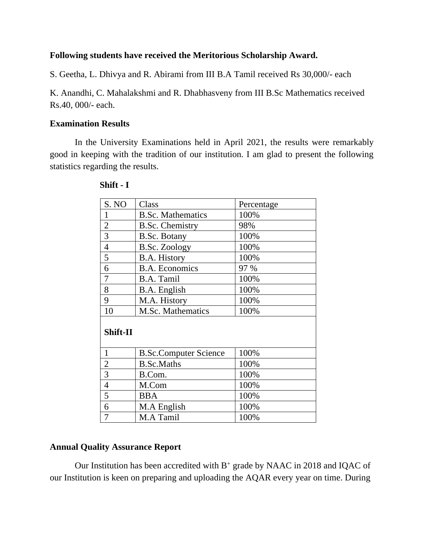#### **Following students have received the Meritorious Scholarship Award.**

S. Geetha, L. Dhivya and R. Abirami from III B.A Tamil received Rs 30,000/- each

K. Anandhi, C. Mahalakshmi and R. Dhabhasveny from III B.Sc Mathematics received Rs.40, 000/- each.

#### **Examination Results**

In the University Examinations held in April 2021, the results were remarkably good in keeping with the tradition of our institution. I am glad to present the following statistics regarding the results.

| S. NO          | Class                        | Percentage |  |  |
|----------------|------------------------------|------------|--|--|
| 1              | <b>B.Sc. Mathematics</b>     | 100%       |  |  |
| $\overline{2}$ | <b>B.Sc. Chemistry</b>       | 98%        |  |  |
| 3              | <b>B.Sc. Botany</b>          | 100%       |  |  |
| $\overline{4}$ | <b>B.Sc. Zoology</b>         | 100%       |  |  |
| 5              | <b>B.A. History</b>          | 100%       |  |  |
| 6              | <b>B.A. Economics</b>        | 97 %       |  |  |
| 7              | B.A. Tamil                   | 100%       |  |  |
| 8              | B.A. English                 | 100%       |  |  |
| 9              | M.A. History                 | 100%       |  |  |
| 10             | <b>M.Sc. Mathematics</b>     | 100%       |  |  |
| Shift-II       |                              |            |  |  |
| 1              | <b>B.Sc.Computer Science</b> | 100%       |  |  |
| $\overline{2}$ | <b>B.Sc.Maths</b>            | 100%       |  |  |
| 3              | B.Com.                       | 100%       |  |  |
| $\overline{4}$ | M.Com                        | 100%       |  |  |
| 5              | <b>BBA</b>                   | 100%       |  |  |
| 6              | M.A English                  | 100%       |  |  |
| $\overline{7}$ | M.A Tamil                    | 100%       |  |  |

#### **Shift - I**

#### **Annual Quality Assurance Report**

Our Institution has been accredited with  $B^+$  grade by NAAC in 2018 and IQAC of our Institution is keen on preparing and uploading the AQAR every year on time. During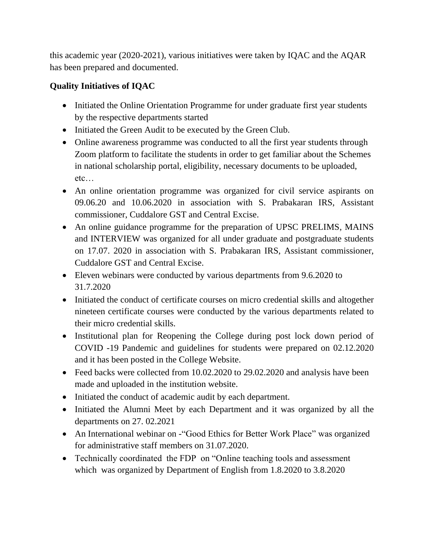this academic year (2020-2021), various initiatives were taken by IQAC and the AQAR has been prepared and documented.

# **Quality Initiatives of IQAC**

- Initiated the Online Orientation Programme for under graduate first year students by the respective departments started
- Initiated the Green Audit to be executed by the Green Club.
- Online awareness programme was conducted to all the first year students through Zoom platform to facilitate the students in order to get familiar about the Schemes in national scholarship portal, eligibility, necessary documents to be uploaded, etc…
- An online orientation programme was organized for civil service aspirants on 09.06.20 and 10.06.2020 in association with S. Prabakaran IRS, Assistant commissioner, Cuddalore GST and Central Excise.
- An online guidance programme for the preparation of UPSC PRELIMS, MAINS and INTERVIEW was organized for all under graduate and postgraduate students on 17.07. 2020 in association with S. Prabakaran IRS, Assistant commissioner, Cuddalore GST and Central Excise.
- Eleven webinars were conducted by various departments from 9.6.2020 to 31.7.2020
- Initiated the conduct of certificate courses on micro credential skills and altogether nineteen certificate courses were conducted by the various departments related to their micro credential skills.
- Institutional plan for Reopening the College during post lock down period of COVID -19 Pandemic and guidelines for students were prepared on 02.12.2020 and it has been posted in the College Website.
- Feed backs were collected from 10.02.2020 to 29.02.2020 and analysis have been made and uploaded in the institution website.
- Initiated the conduct of academic audit by each department.
- Initiated the Alumni Meet by each Department and it was organized by all the departments on 27. 02.2021
- An International webinar on "Good Ethics for Better Work Place" was organized for administrative staff members on 31.07.2020.
- Technically coordinated the FDP on "Online teaching tools and assessment which was organized by Department of English from 1.8.2020 to 3.8.2020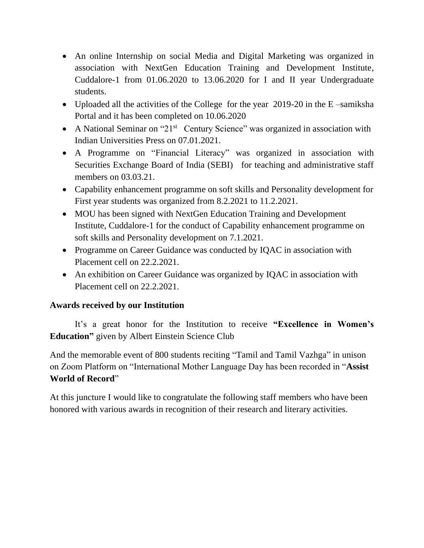- An online Internship on social Media and Digital Marketing was organized in association with NextGen Education Training and Development Institute, Cuddalore-1 from 01.06.2020 to 13.06.2020 for I and II year Undergraduate students.
- Uploaded all the activities of the College for the year 2019-20 in the E-samiksha Portal and it has been completed on 10.06.2020
- A National Seminar on "21 $st$  Century Science" was organized in association with Indian Universities Press on 07.01.2021.
- A Programme on "Financial Literacy" was organized in association with Securities Exchange Board of India (SEBI) for teaching and administrative staff members on 03.03.21.
- Capability enhancement programme on soft skills and Personality development for First year students was organized from 8.2.2021 to 11.2.2021.
- MOU has been signed with NextGen Education Training and Development Institute, Cuddalore-1 for the conduct of Capability enhancement programme on soft skills and Personality development on 7.1.2021.
- Programme on Career Guidance was conducted by IQAC in association with Placement cell on 22.2.2021.
- An exhibition on Career Guidance was organized by IQAC in association with Placement cell on 22.2.2021.

## **Awards received by our Institution**

It's a great honor for the Institution to receive **"Excellence in Women's Education"** given by Albert Einstein Science Club

And the memorable event of 800 students reciting "Tamil and Tamil Vazhga" in unison on Zoom Platform on "International Mother Language Day has been recorded in "**Assist World of Record**"

At this juncture I would like to congratulate the following staff members who have been honored with various awards in recognition of their research and literary activities.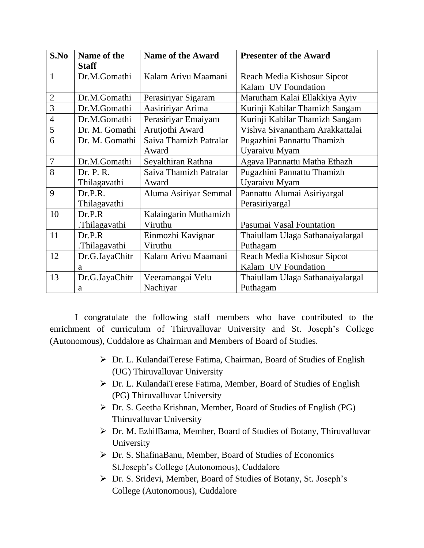| S.No           | Name of the    | <b>Name of the Award</b> | <b>Presenter of the Award</b>    |
|----------------|----------------|--------------------------|----------------------------------|
|                | <b>Staff</b>   |                          |                                  |
| $\mathbf{1}$   | Dr.M.Gomathi   | Kalam Arivu Maamani      | Reach Media Kishosur Sipcot      |
|                |                |                          | Kalam UV Foundation              |
| $\overline{2}$ | Dr.M.Gomathi   | Perasiriyar Sigaram      | Marutham Kalai Ellakkiya Ayiv    |
| 3              | Dr.M.Gomathi   | Aasiririyar Arima        | Kurinji Kabilar Thamizh Sangam   |
| $\overline{4}$ | Dr.M.Gomathi   | Perasiriyar Emaiyam      | Kurinji Kabilar Thamizh Sangam   |
| 5              | Dr. M. Gomathi | Arutjothi Award          | Vishva Sivanantham Arakkattalai  |
| 6              | Dr. M. Gomathi | Saiva Thamizh Patralar   | Pugazhini Pannattu Thamizh       |
|                |                | Award                    | Uyaraivu Myam                    |
| $\overline{7}$ | Dr.M.Gomathi   | Seyalthiran Rathna       | Agava lPannattu Matha Ethazh     |
| 8              | Dr. P. R.      | Saiva Thamizh Patralar   | Pugazhini Pannattu Thamizh       |
|                | Thilagavathi   | Award                    | Uyaraivu Myam                    |
| 9              | Dr.P.R.        | Aluma Asiriyar Semmal    | Pannattu Alumai Asiriyargal      |
|                | Thilagavathi   |                          | Perasiriyargal                   |
| 10             | Dr.P.R         | Kalaingarin Muthamizh    |                                  |
|                | .Thilagavathi  | Viruthu                  | Pasumai Vasal Fountation         |
| 11             | Dr.P.R         | Einmozhi Kavignar        | Thaiullam Ulaga Sathanaiyalargal |
|                | .Thilagavathi  | Viruthu                  | Puthagam                         |
| 12             | Dr.G.JayaChitr | Kalam Arivu Maamani      | Reach Media Kishosur Sipcot      |
|                | a              |                          | Kalam UV Foundation              |
| 13             | Dr.G.JayaChitr | Veeramangai Velu         | Thaiullam Ulaga Sathanaiyalargal |
|                | a              | Nachiyar                 | Puthagam                         |

I congratulate the following staff members who have contributed to the enrichment of curriculum of Thiruvalluvar University and St. Joseph's College (Autonomous), Cuddalore as Chairman and Members of Board of Studies.

- ➢ Dr. L. KulandaiTerese Fatima, Chairman, Board of Studies of English (UG) Thiruvalluvar University
- ➢ Dr. L. KulandaiTerese Fatima, Member, Board of Studies of English (PG) Thiruvalluvar University
- ➢ Dr. S. Geetha Krishnan, Member, Board of Studies of English (PG) Thiruvalluvar University
- ➢ Dr. M. EzhilBama, Member, Board of Studies of Botany, Thiruvalluvar University
- ➢ Dr. S. ShafinaBanu, Member, Board of Studies of Economics St.Joseph's College (Autonomous), Cuddalore
- ➢ Dr. S. Sridevi, Member, Board of Studies of Botany, St. Joseph's College (Autonomous), Cuddalore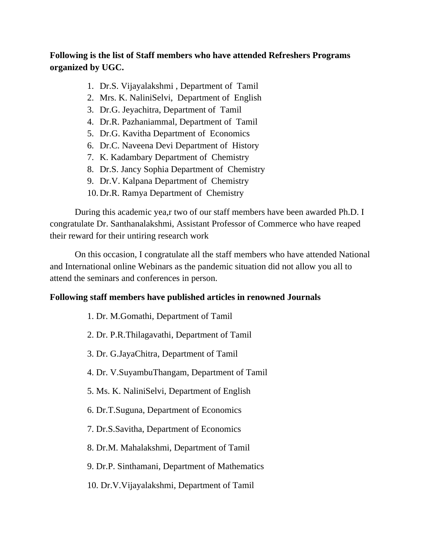## **Following is the list of Staff members who have attended Refreshers Programs organized by UGC.**

- 1. Dr.S. Vijayalakshmi , Department of Tamil
- 2. Mrs. K. NaliniSelvi, Department of English
- 3. Dr.G. Jeyachitra, Department of Tamil
- 4. Dr.R. Pazhaniammal, Department of Tamil
- 5. Dr.G. Kavitha Department of Economics
- 6. Dr.C. Naveena Devi Department of History
- 7. K. Kadambary Department of Chemistry
- 8. Dr.S. Jancy Sophia Department of Chemistry
- 9. Dr.V. Kalpana Department of Chemistry
- 10.Dr.R. Ramya Department of Chemistry

During this academic yea,r two of our staff members have been awarded Ph.D. I congratulate Dr. Santhanalakshmi, Assistant Professor of Commerce who have reaped their reward for their untiring research work

On this occasion, I congratulate all the staff members who have attended National and International online Webinars as the pandemic situation did not allow you all to attend the seminars and conferences in person.

#### **Following staff members have published articles in renowned Journals**

- 1. Dr. M.Gomathi, Department of Tamil
- 2. Dr. P.R.Thilagavathi, Department of Tamil
- 3. Dr. G.JayaChitra, Department of Tamil
- 4. Dr. V.SuyambuThangam, Department of Tamil
- 5. Ms. K. NaliniSelvi, Department of English
- 6. Dr.T.Suguna, Department of Economics
- 7. Dr.S.Savitha, Department of Economics
- 8. Dr.M. Mahalakshmi, Department of Tamil
- 9. Dr.P. Sinthamani, Department of Mathematics
- 10. Dr.V.Vijayalakshmi, Department of Tamil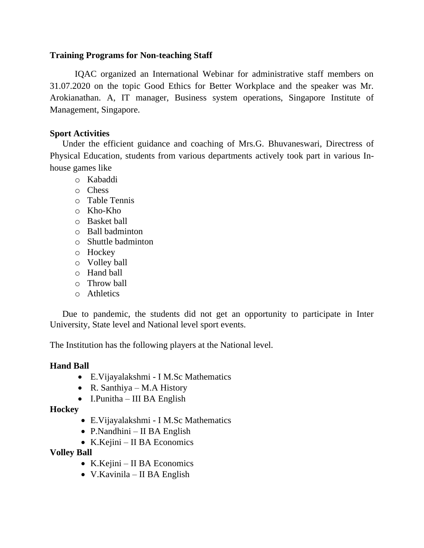#### **Training Programs for Non-teaching Staff**

IQAC organized an International Webinar for administrative staff members on 31.07.2020 on the topic Good Ethics for Better Workplace and the speaker was Mr. Arokianathan. A, IT manager, Business system operations, Singapore Institute of Management, Singapore.

#### **Sport Activities**

Under the efficient guidance and coaching of Mrs.G. Bhuvaneswari, Directress of Physical Education, students from various departments actively took part in various Inhouse games like

- o Kabaddi
- o Chess
- o Table Tennis
- o Kho-Kho
- o Basket ball
- o Ball badminton
- o Shuttle badminton
- o Hockey
- o Volley ball
- o Hand ball
- o Throw ball
- o Athletics

Due to pandemic, the students did not get an opportunity to participate in Inter University, State level and National level sport events.

The Institution has the following players at the National level.

#### **Hand Ball**

- E.Vijayalakshmi I M.Sc Mathematics
- R. Santhiya M.A History
- I.Punitha III BA English

#### **Hockey**

- E.Vijayalakshmi I M.Sc Mathematics
- P.Nandhini II BA English
- K.Kejini II BA Economics

#### **Volley Ball**

- K.Kejini II BA Economics
- V.Kavinila II BA English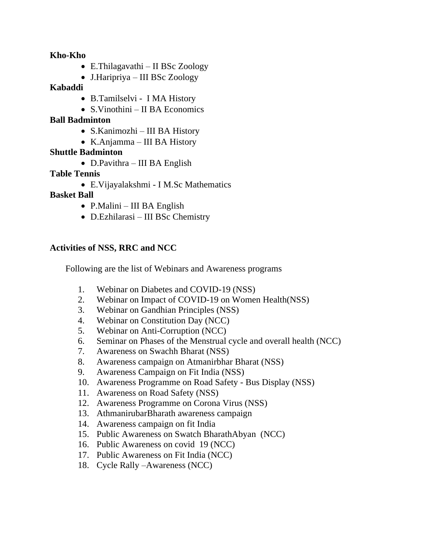**Kho-Kho**

- E.Thilagavathi II BSc Zoology
- J.Haripriya III BSc Zoology

## **Kabaddi**

- B.Tamilselvi I MA History
- S.Vinothini II BA Economics

## **Ball Badminton**

- S.Kanimozhi III BA History
- K.Anjamma III BA History

## **Shuttle Badminton**

• D.Pavithra – III BA English

## **Table Tennis**

• E.Vijayalakshmi - I M.Sc Mathematics

## **Basket Ball**

- P.Malini III BA English
- D.Ezhilarasi III BSc Chemistry

## **Activities of NSS, RRC and NCC**

Following are the list of Webinars and Awareness programs

- 1. Webinar on Diabetes and COVID-19 (NSS)
- 2. Webinar on Impact of COVID-19 on Women Health(NSS)
- 3. Webinar on Gandhian Principles (NSS)
- 4. Webinar on Constitution Day (NCC)
- 5. Webinar on Anti-Corruption (NCC)
- 6. Seminar on Phases of the Menstrual cycle and overall health (NCC)
- 7. Awareness on Swachh Bharat (NSS)
- 8. Awareness campaign on Atmanirbhar Bharat (NSS)
- 9. Awareness Campaign on Fit India (NSS)
- 10. Awareness Programme on Road Safety Bus Display (NSS)
- 11. Awareness on Road Safety (NSS)
- 12. Awareness Programme on Corona Virus (NSS)
- 13. AthmanirubarBharath awareness campaign
- 14. Awareness campaign on fit India
- 15. Public Awareness on Swatch BharathAbyan (NCC)
- 16. Public Awareness on covid 19 (NCC)
- 17. Public Awareness on Fit India (NCC)
- 18. Cycle Rally –Awareness (NCC)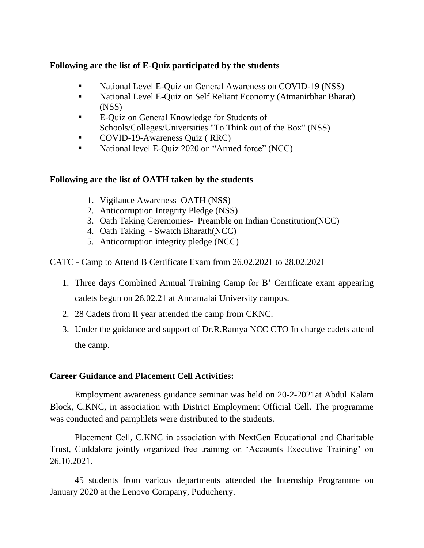## **Following are the list of E-Quiz participated by the students**

- **•** National Level E-Quiz on General Awareness on COVID-19 (NSS)
- National Level E-Quiz on Self Reliant Economy (Atmanirbhar Bharat) (NSS)
- E-Quiz on General Knowledge for Students of Schools/Colleges/Universities "To Think out of the Box" (NSS)
- COVID-19-Awareness Quiz (RRC)
- National level E-Quiz 2020 on "Armed force" (NCC)

## **Following are the list of OATH taken by the students**

- 1. Vigilance Awareness OATH (NSS)
- 2. Anticorruption Integrity Pledge (NSS)
- 3. Oath Taking Ceremonies- Preamble on Indian Constitution(NCC)
- 4. Oath Taking Swatch Bharath(NCC)
- 5. Anticorruption integrity pledge (NCC)
- CATC Camp to Attend B Certificate Exam from 26.02.2021 to 28.02.2021
	- 1. Three days Combined Annual Training Camp for B' Certificate exam appearing cadets begun on 26.02.21 at Annamalai University campus.
	- 2. 28 Cadets from II year attended the camp from CKNC.
	- 3. Under the guidance and support of Dr.R.Ramya NCC CTO In charge cadets attend the camp.

## **Career Guidance and Placement Cell Activities:**

Employment awareness guidance seminar was held on 20-2-2021at Abdul Kalam Block, C.KNC, in association with District Employment Official Cell. The programme was conducted and pamphlets were distributed to the students.

Placement Cell, C.KNC in association with NextGen Educational and Charitable Trust, Cuddalore jointly organized free training on 'Accounts Executive Training' on 26.10.2021.

45 students from various departments attended the Internship Programme on January 2020 at the Lenovo Company, Puducherry.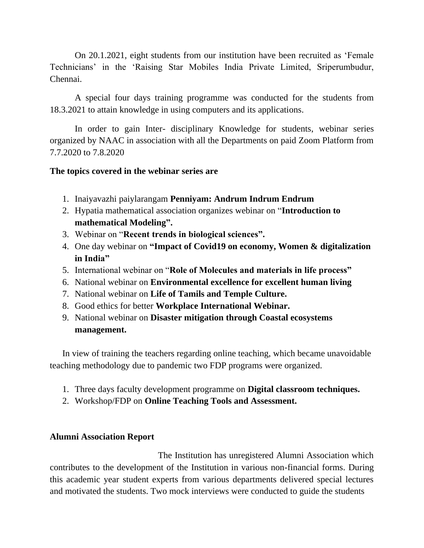On 20.1.2021, eight students from our institution have been recruited as 'Female Technicians' in the 'Raising Star Mobiles India Private Limited, Sriperumbudur, Chennai.

A special four days training programme was conducted for the students from 18.3.2021 to attain knowledge in using computers and its applications.

In order to gain Inter- disciplinary Knowledge for students, webinar series organized by NAAC in association with all the Departments on paid Zoom Platform from 7.7.2020 to 7.8.2020

#### **The topics covered in the webinar series are**

- 1. Inaiyavazhi paiylarangam **Penniyam: Andrum Indrum Endrum**
- 2. Hypatia mathematical association organizes webinar on "**Introduction to mathematical Modeling".**
- 3. Webinar on "**Recent trends in biological sciences".**
- 4. One day webinar on **"Impact of Covid19 on economy, Women & digitalization in India"**
- 5. International webinar on "**Role of Molecules and materials in life process"**
- 6. National webinar on **Environmental excellence for excellent human living**
- 7. National webinar on **Life of Tamils and Temple Culture.**
- 8. Good ethics for better **Workplace International Webinar.**
- 9. National webinar on **Disaster mitigation through Coastal ecosystems management.**

In view of training the teachers regarding online teaching, which became unavoidable teaching methodology due to pandemic two FDP programs were organized.

- 1. Three days faculty development programme on **Digital classroom techniques.**
- 2. Workshop/FDP on **Online Teaching Tools and Assessment.**

#### **Alumni Association Report**

 The Institution has unregistered Alumni Association which contributes to the development of the Institution in various non-financial forms. During this academic year student experts from various departments delivered special lectures and motivated the students. Two mock interviews were conducted to guide the students